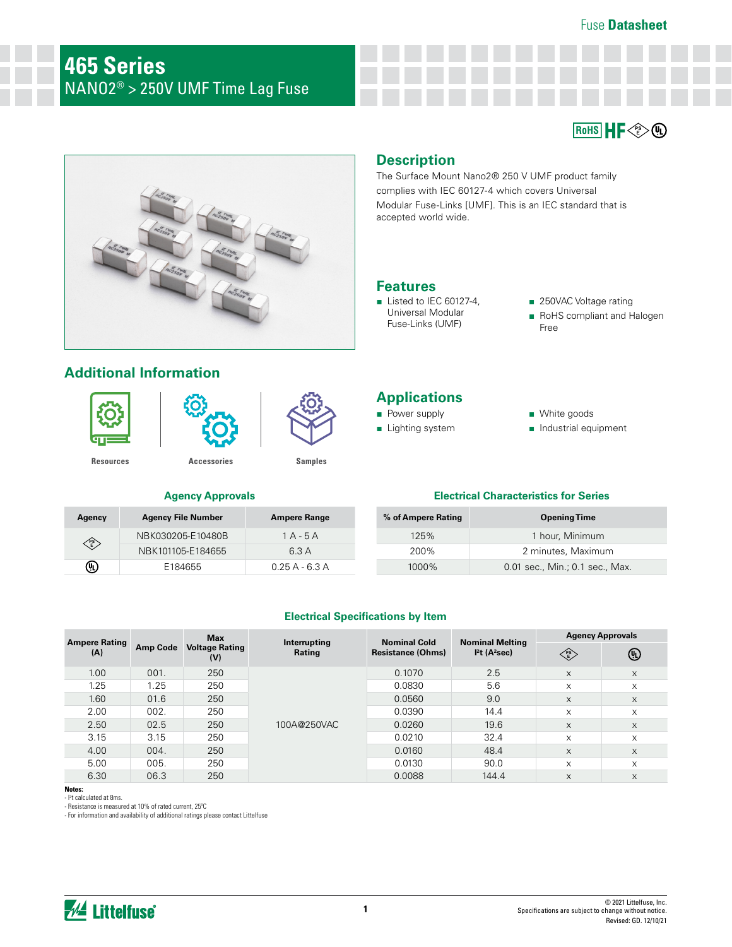Fuse **Datasheet**

 $R$ <sub>D</sub>HS  $\parallel$  **HF** 



# **Additional Information**



**PS E**

 $\circledR$ 



**Agency Agency File Number Ampere Range**



NBK030205-E10480B 1 A - 5 A NBK101105-E184655 6.3 A

E184655 0.25 A - 6.3 A

# **Description**

The Surface Mount Nano2® 250 V UMF product family complies with IEC 60127-4 which covers Universal Modular Fuse-Links [UMF]. This is an IEC standard that is accepted world wide.

## **Features**

- Listed to IEC 60127-4, Universal Modular Fuse-Links (UMF)
- 250VAC Voltage rating
- RoHS compliant and Halogen Free

## **Applications**

- Power supply
- Lighting system
- White goods
- Industrial equipment

#### **Agency Approvals Electrical Characteristics for Series**

| % of Ampere Rating | <b>Opening Time</b>             |  |  |
|--------------------|---------------------------------|--|--|
| 125%               | 1 hour, Minimum                 |  |  |
| 200%               | 2 minutes, Maximum              |  |  |
| 1000%              | 0.01 sec., Min.; 0.1 sec., Max. |  |  |

#### **Electrical Specifications by Item**

| <b>Ampere Rating</b><br>(A) |                 | <b>Max</b>            | Interrupting<br><b>Rating</b><br>(V) | <b>Nominal Cold</b><br><b>Resistance (Ohms)</b> | <b>Nominal Melting</b><br>I <sup>2</sup> t (A <sup>2</sup> sec) | <b>Agency Approvals</b>                                    |          |
|-----------------------------|-----------------|-----------------------|--------------------------------------|-------------------------------------------------|-----------------------------------------------------------------|------------------------------------------------------------|----------|
|                             | <b>Amp Code</b> | <b>Voltage Rating</b> |                                      |                                                 |                                                                 | $\begin{pmatrix} \n \text{PS} \\ \text{E}\n \end{pmatrix}$ | ⊕        |
| 1.00                        | 001.            | 250                   | 100A@250VAC                          | 0.1070                                          | 2.5                                                             | X                                                          | $\times$ |
| 1.25                        | 1.25            | 250                   |                                      | 0.0830                                          | 5.6                                                             | X                                                          | X        |
| 1.60                        | 01.6            | 250                   |                                      | 0.0560                                          | 9.0                                                             | X                                                          | $\times$ |
| 2.00                        | 002.            | 250                   |                                      | 0.0390                                          | 14.4                                                            | X                                                          | X        |
| 2.50                        | 02.5            | 250                   |                                      | 0.0260                                          | 19.6                                                            | X                                                          | $\times$ |
| 3.15                        | 3.15            | 250                   |                                      | 0.0210                                          | 32.4                                                            | $\times$                                                   | X        |
| 4.00                        | 004.            | 250                   |                                      | 0.0160                                          | 48.4                                                            | X                                                          | $\times$ |
| 5.00                        | 005.            | 250                   |                                      | 0.0130                                          | 90.0                                                            | X                                                          | X        |
| 6.30                        | 06.3            | 250                   |                                      | 0.0088                                          | 144.4                                                           | X                                                          | X        |

**Notes:**

- l2 t calculated at 8ms. - Resistance is measured at 10% of rated current, 25ºC

- For information and availability of additional ratings please contact Littelfuse

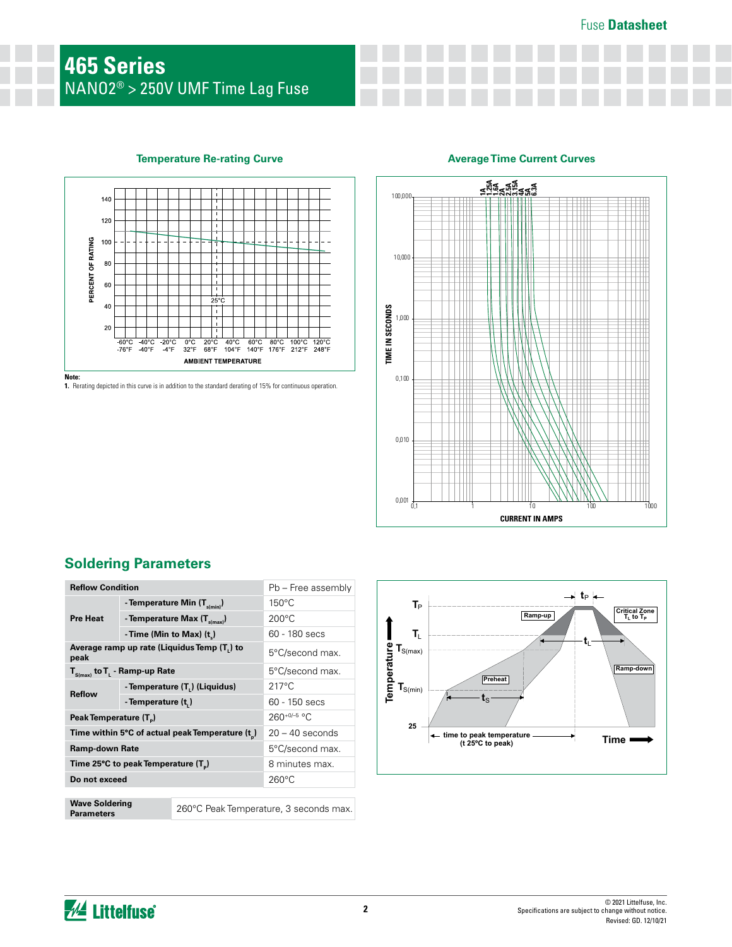#### **Temperature Re-rating Curve**



**1.** Rerating depicted in this curve is in addition to the standard derating of 15% for continuous operation.

### **Average Time Current Curves**



# **Soldering Parameters**

| <b>Reflow Condition</b>                             |                                          | Pb – Free assembly                     |                 |  |
|-----------------------------------------------------|------------------------------------------|----------------------------------------|-----------------|--|
| <b>Pre Heat</b>                                     | - Temperature Min (T <sub>s(min)</sub> ) |                                        | $150^{\circ}$ C |  |
|                                                     | - Temperature Max (T <sub>s(max)</sub> ) |                                        | $200^{\circ}$ C |  |
|                                                     | - Time (Min to Max) $(t_*)$              |                                        | 60 - 180 secs   |  |
| Average ramp up rate (Liquidus Temp (T,) to<br>peak |                                          | 5°C/second max.                        |                 |  |
| $T_{\text{S(max)}}$ to $T_{L}$ - Ramp-up Rate       |                                          | 5°C/second max.                        |                 |  |
| <b>Reflow</b>                                       | - Temperature (T.) (Liquidus)            |                                        | $217^{\circ}$ C |  |
|                                                     | - Temperature (t.)                       |                                        | 60 - 150 secs   |  |
| Peak Temperature (T <sub>p</sub> )                  |                                          | $260^{+0/-5}$ °C                       |                 |  |
| Time within 5°C of actual peak Temperature (t)      |                                          | $20 - 40$ seconds                      |                 |  |
| <b>Ramp-down Rate</b>                               |                                          | 5°C/second max.                        |                 |  |
| Time 25°C to peak Temperature (T <sub>p</sub> )     |                                          | 8 minutes max.                         |                 |  |
| Do not exceed                                       |                                          | $260^{\circ}$ C                        |                 |  |
|                                                     |                                          |                                        |                 |  |
| <b>Wave Soldering</b><br><b>Parameters</b>          |                                          | 260°C Peak Temperature, 3 seconds max. |                 |  |